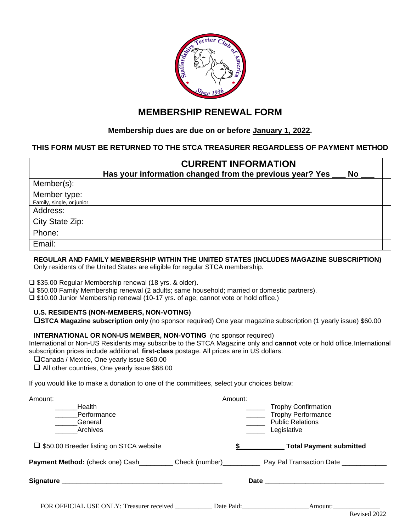

# **MEMBERSHIP RENEWAL FORM**

## **Membership dues are due on or before January 1, 2022.**

### **THIS FORM MUST BE RETURNED TO THE STCA TREASURER REGARDLESS OF PAYMENT METHOD**

|                                           | <b>CURRENT INFORMATION</b>                                            |  |  |
|-------------------------------------------|-----------------------------------------------------------------------|--|--|
|                                           | Has your information changed from the previous year? Yes<br><b>No</b> |  |  |
| Member(s):                                |                                                                       |  |  |
| Member type:<br>Family, single, or junior |                                                                       |  |  |
| Address:                                  |                                                                       |  |  |
| City State Zip:                           |                                                                       |  |  |
| Phone:                                    |                                                                       |  |  |
| Email:                                    |                                                                       |  |  |

#### **REGULAR AND FAMILY MEMBERSHIP WITHIN THE UNITED STATES (INCLUDES MAGAZINE SUBSCRIPTION)** Only residents of the United States are eligible for regular STCA membership.

❑ \$35.00 Regular Membership renewal (18 yrs. & older).

❑ \$50.00 Family Membership renewal (2 adults; same household; married or domestic partners).

❑ \$10.00 Junior Membership renewal (10-17 yrs. of age; cannot vote or hold office.)

### **U.S. RESIDENTS (NON-MEMBERS, NON-VOTING)**

❑**STCA Magazine subscription only** (no sponsor required) One year magazine subscription (1 yearly issue) \$60.00

#### **INTERNATIONAL OR NON-US MEMBER, NON-VOTING** (no sponsor required)

International or Non-US Residents may subscribe to the STCA Magazine only and **cannot** vote or hold office.International subscription prices include additional, **first-class** postage. All prices are in US dollars.

❑Canada / Mexico, One yearly issue \$60.00

❑ All other countries, One yearly issue \$68.00

If you would like to make a donation to one of the committees, select your choices below:

| Amount:                                              | Amount: |                            |
|------------------------------------------------------|---------|----------------------------|
| Health                                               |         | <b>Trophy Confirmation</b> |
| Performance                                          |         | <b>Trophy Performance</b>  |
| General                                              |         | <b>Public Relations</b>    |
| Archives                                             |         | Legislative                |
| □ \$50.00 Breeder listing on STCA website            |         | Total Payment submitted    |
|                                                      |         |                            |
|                                                      |         |                            |
| FOR OFFICIAL USE ONLY: Treasurer received Date Paid: |         |                            |
|                                                      |         | Revised 2022               |